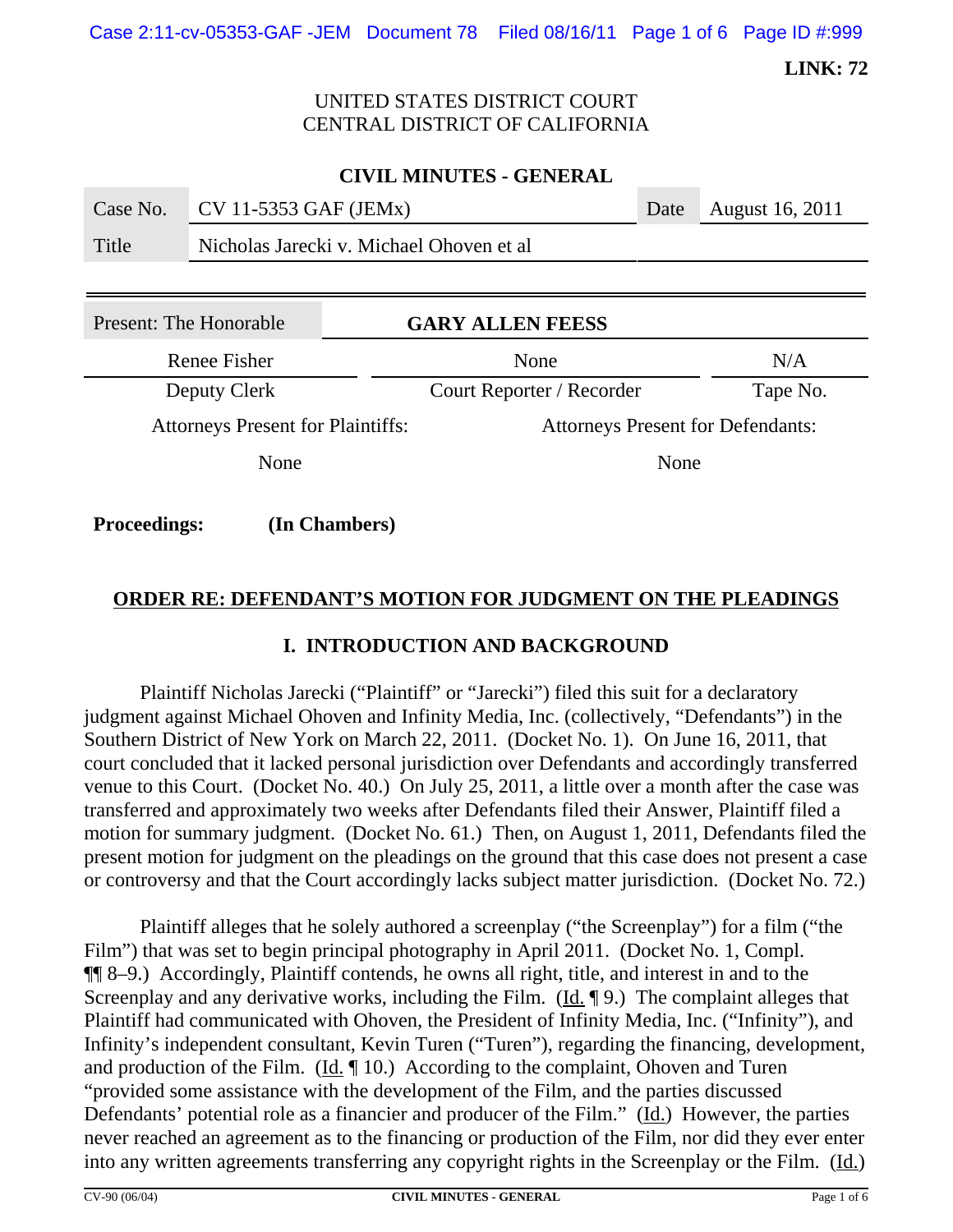Case 2:11-cv-05353-GAF -JEM Document 78 Filed 08/16/11 Page 1 of 6 Page ID #:999

**LINK: 72**

### UNITED STATES DISTRICT COURT CENTRAL DISTRICT OF CALIFORNIA

| <b>CIVIL MINUTES - GENERAL</b> |                                          |                         |                           |                 |
|--------------------------------|------------------------------------------|-------------------------|---------------------------|-----------------|
| Case No.                       | CV 11-5353 GAF (JEMx)                    |                         | Date                      | August 16, 2011 |
| Title                          | Nicholas Jarecki v. Michael Ohoven et al |                         |                           |                 |
|                                |                                          |                         |                           |                 |
| Present: The Honorable         |                                          | <b>GARY ALLEN FEESS</b> |                           |                 |
| Renee Fisher                   |                                          | None                    |                           |                 |
| Deputy Clerk                   |                                          |                         | Court Reporter / Recorder |                 |
|                                |                                          |                         |                           |                 |

None None

Attorneys Present for Plaintiffs: Attorneys Present for Defendants:

**Proceedings: (In Chambers)**

# **ORDER RE: DEFENDANT'S MOTION FOR JUDGMENT ON THE PLEADINGS**

### **I. INTRODUCTION AND BACKGROUND**

Plaintiff Nicholas Jarecki ("Plaintiff" or "Jarecki") filed this suit for a declaratory judgment against Michael Ohoven and Infinity Media, Inc. (collectively, "Defendants") in the Southern District of New York on March 22, 2011. (Docket No. 1). On June 16, 2011, that court concluded that it lacked personal jurisdiction over Defendants and accordingly transferred venue to this Court. (Docket No. 40.) On July 25, 2011, a little over a month after the case was transferred and approximately two weeks after Defendants filed their Answer, Plaintiff filed a motion for summary judgment. (Docket No. 61.) Then, on August 1, 2011, Defendants filed the present motion for judgment on the pleadings on the ground that this case does not present a case or controversy and that the Court accordingly lacks subject matter jurisdiction. (Docket No. 72.)

Plaintiff alleges that he solely authored a screenplay ("the Screenplay") for a film ("the Film") that was set to begin principal photography in April 2011. (Docket No. 1, Compl. ¶¶ 8–9.) Accordingly, Plaintiff contends, he owns all right, title, and interest in and to the Screenplay and any derivative works, including the Film.  $(\underline{Id}, \P 9)$ . The complaint alleges that Plaintiff had communicated with Ohoven, the President of Infinity Media, Inc. ("Infinity"), and Infinity's independent consultant, Kevin Turen ("Turen"), regarding the financing, development, and production of the Film. ( $\underline{Id}$ .  $\P$  10.) According to the complaint, Ohoven and Turen "provided some assistance with the development of the Film, and the parties discussed Defendants' potential role as a financier and producer of the Film." (Id.) However, the parties never reached an agreement as to the financing or production of the Film, nor did they ever enter into any written agreements transferring any copyright rights in the Screenplay or the Film. (Id.)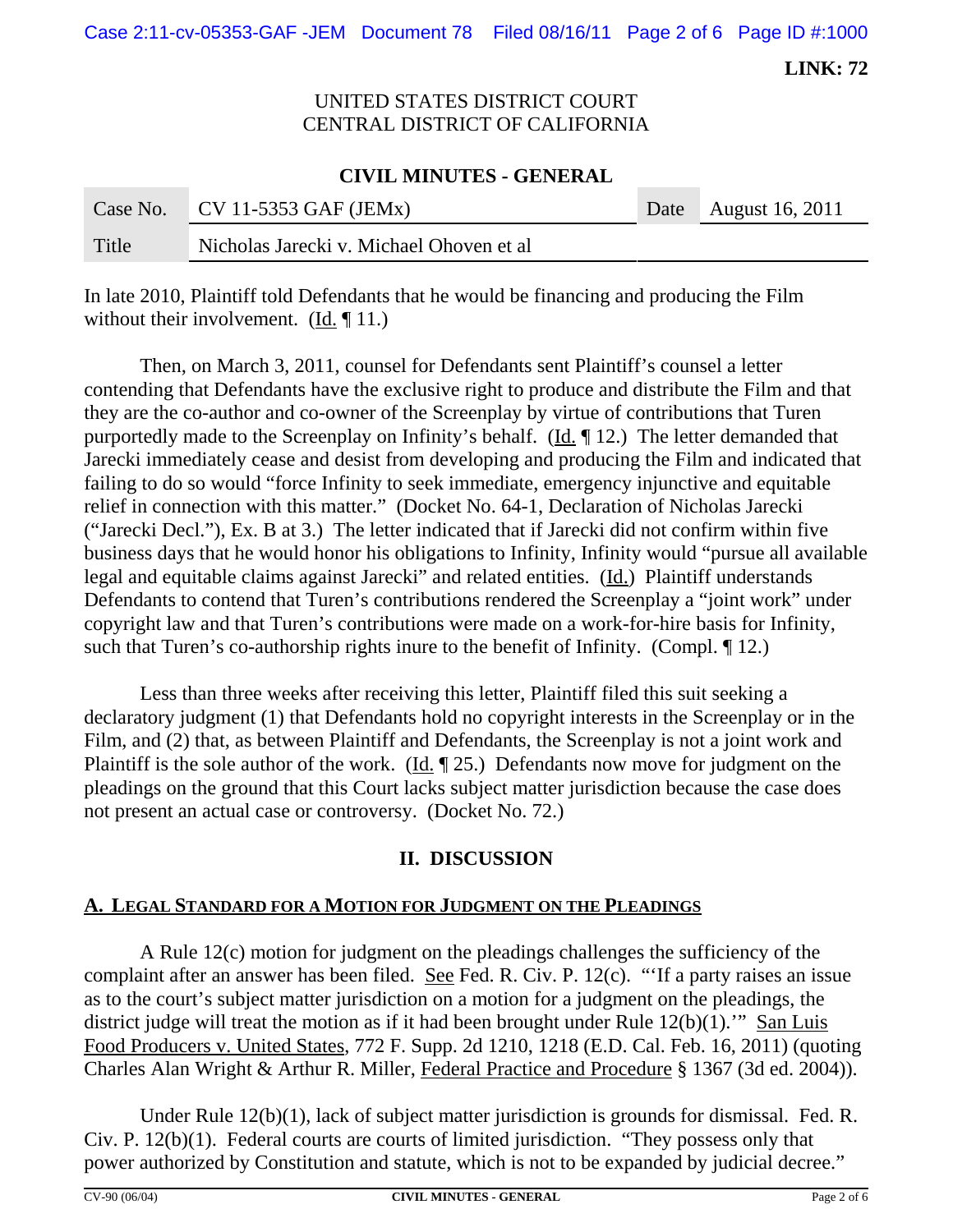Case 2:11-cv-05353-GAF -JEM Document 78 Filed 08/16/11 Page 2 of 6 Page ID #:1000

**LINK: 72**

# UNITED STATES DISTRICT COURT CENTRAL DISTRICT OF CALIFORNIA

#### **CIVIL MINUTES - GENERAL**

| Case No. | $CV 11-5353 GAF (JEMx)$                  | Date August 16, 2011 |
|----------|------------------------------------------|----------------------|
| Title    | Nicholas Jarecki v. Michael Ohoven et al |                      |

In late 2010, Plaintiff told Defendants that he would be financing and producing the Film without their involvement. (Id. ¶ 11.)

Then, on March 3, 2011, counsel for Defendants sent Plaintiff's counsel a letter contending that Defendants have the exclusive right to produce and distribute the Film and that they are the co-author and co-owner of the Screenplay by virtue of contributions that Turen purportedly made to the Screenplay on Infinity's behalf. (Id. ¶ 12.) The letter demanded that Jarecki immediately cease and desist from developing and producing the Film and indicated that failing to do so would "force Infinity to seek immediate, emergency injunctive and equitable relief in connection with this matter." (Docket No. 64-1, Declaration of Nicholas Jarecki ("Jarecki Decl."), Ex. B at 3.) The letter indicated that if Jarecki did not confirm within five business days that he would honor his obligations to Infinity, Infinity would "pursue all available legal and equitable claims against Jarecki" and related entities. (Id.) Plaintiff understands Defendants to contend that Turen's contributions rendered the Screenplay a "joint work" under copyright law and that Turen's contributions were made on a work-for-hire basis for Infinity, such that Turen's co-authorship rights inure to the benefit of Infinity. (Compl. ¶ 12.)

Less than three weeks after receiving this letter, Plaintiff filed this suit seeking a declaratory judgment (1) that Defendants hold no copyright interests in the Screenplay or in the Film, and (2) that, as between Plaintiff and Defendants, the Screenplay is not a joint work and Plaintiff is the sole author of the work.  $(\underline{Id} \cdot \P 25)$  Defendants now move for judgment on the pleadings on the ground that this Court lacks subject matter jurisdiction because the case does not present an actual case or controversy. (Docket No. 72.)

### **II. DISCUSSION**

#### **A. LEGAL STANDARD FOR A MOTION FOR JUDGMENT ON THE PLEADINGS**

A Rule 12(c) motion for judgment on the pleadings challenges the sufficiency of the complaint after an answer has been filed. See Fed. R. Civ. P. 12(c). "'If a party raises an issue as to the court's subject matter jurisdiction on a motion for a judgment on the pleadings, the district judge will treat the motion as if it had been brought under Rule  $12(b)(1)$ .'" San Luis Food Producers v. United States, 772 F. Supp. 2d 1210, 1218 (E.D. Cal. Feb. 16, 2011) (quoting Charles Alan Wright & Arthur R. Miller, Federal Practice and Procedure § 1367 (3d ed. 2004)).

Under Rule 12(b)(1), lack of subject matter jurisdiction is grounds for dismissal. Fed. R. Civ. P. 12(b)(1). Federal courts are courts of limited jurisdiction. "They possess only that power authorized by Constitution and statute, which is not to be expanded by judicial decree."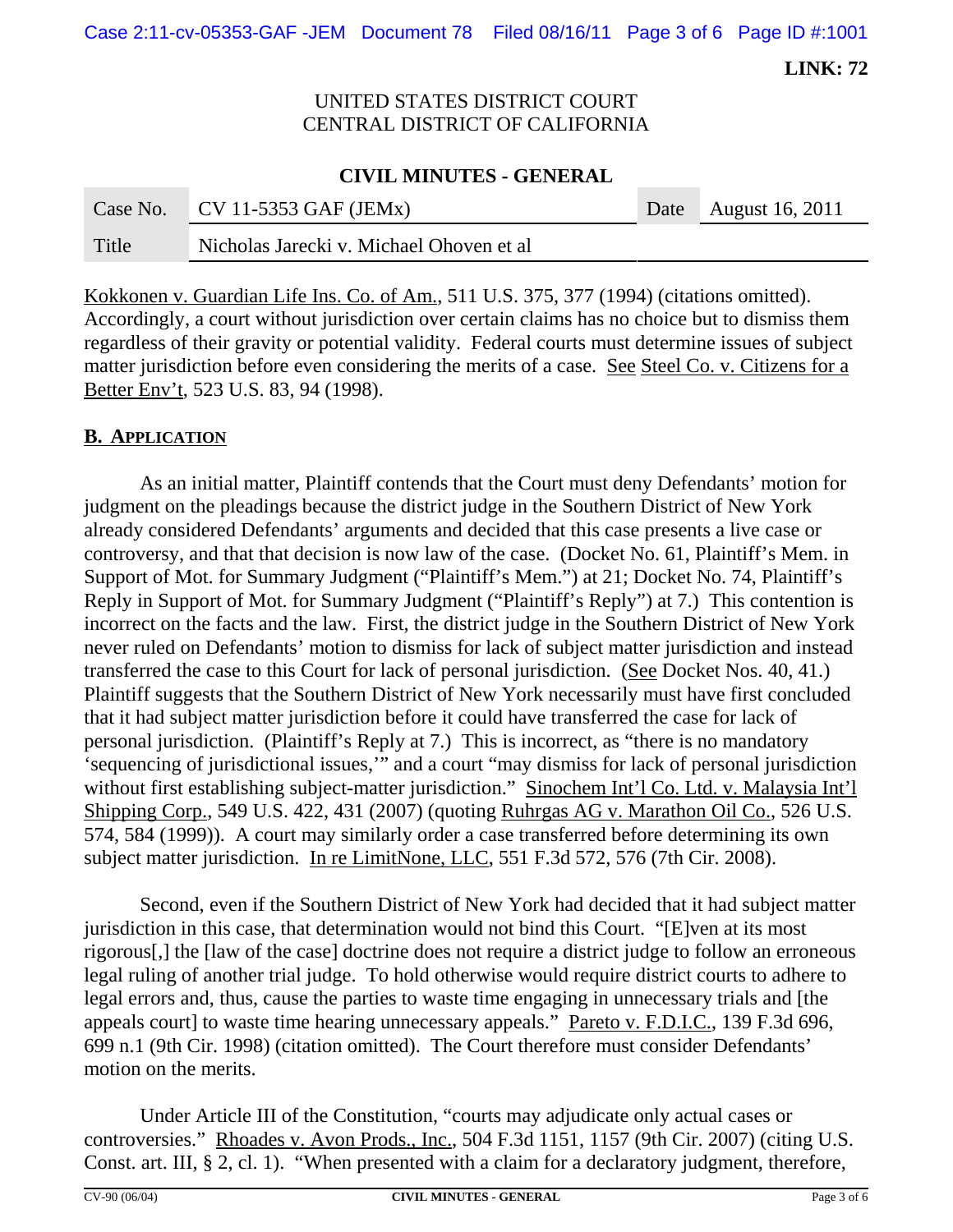Case 2:11-cv-05353-GAF -JEM Document 78 Filed 08/16/11 Page 3 of 6 Page ID #:1001

**LINK: 72**

# UNITED STATES DISTRICT COURT CENTRAL DISTRICT OF CALIFORNIA

### **CIVIL MINUTES - GENERAL**

| Case No. | $\vert$ CV 11-5353 GAF (JEMx)            | Date August 16, 2011 |
|----------|------------------------------------------|----------------------|
| Title    | Nicholas Jarecki v. Michael Ohoven et al |                      |

Kokkonen v. Guardian Life Ins. Co. of Am., 511 U.S. 375, 377 (1994) (citations omitted). Accordingly, a court without jurisdiction over certain claims has no choice but to dismiss them regardless of their gravity or potential validity. Federal courts must determine issues of subject matter jurisdiction before even considering the merits of a case. See Steel Co. v. Citizens for a Better Env't, 523 U.S. 83, 94 (1998).

### **B. APPLICATION**

As an initial matter, Plaintiff contends that the Court must deny Defendants' motion for judgment on the pleadings because the district judge in the Southern District of New York already considered Defendants' arguments and decided that this case presents a live case or controversy, and that that decision is now law of the case. (Docket No. 61, Plaintiff's Mem. in Support of Mot. for Summary Judgment ("Plaintiff's Mem.") at 21; Docket No. 74, Plaintiff's Reply in Support of Mot. for Summary Judgment ("Plaintiff's Reply") at 7.) This contention is incorrect on the facts and the law. First, the district judge in the Southern District of New York never ruled on Defendants' motion to dismiss for lack of subject matter jurisdiction and instead transferred the case to this Court for lack of personal jurisdiction. (See Docket Nos. 40, 41.) Plaintiff suggests that the Southern District of New York necessarily must have first concluded that it had subject matter jurisdiction before it could have transferred the case for lack of personal jurisdiction. (Plaintiff's Reply at 7.) This is incorrect, as "there is no mandatory 'sequencing of jurisdictional issues,'" and a court "may dismiss for lack of personal jurisdiction without first establishing subject-matter jurisdiction." Sinochem Int'l Co. Ltd. v. Malaysia Int'l Shipping Corp., 549 U.S. 422, 431 (2007) (quoting Ruhrgas AG v. Marathon Oil Co., 526 U.S. 574, 584 (1999)). A court may similarly order a case transferred before determining its own subject matter jurisdiction. In re LimitNone, LLC, 551 F.3d 572, 576 (7th Cir. 2008).

Second, even if the Southern District of New York had decided that it had subject matter jurisdiction in this case, that determination would not bind this Court. "[E]ven at its most rigorous[,] the [law of the case] doctrine does not require a district judge to follow an erroneous legal ruling of another trial judge. To hold otherwise would require district courts to adhere to legal errors and, thus, cause the parties to waste time engaging in unnecessary trials and [the appeals court] to waste time hearing unnecessary appeals." Pareto v. F.D.I.C., 139 F.3d 696, 699 n.1 (9th Cir. 1998) (citation omitted). The Court therefore must consider Defendants' motion on the merits.

Under Article III of the Constitution, "courts may adjudicate only actual cases or controversies." Rhoades v. Avon Prods., Inc., 504 F.3d 1151, 1157 (9th Cir. 2007) (citing U.S. Const. art. III, § 2, cl. 1). "When presented with a claim for a declaratory judgment, therefore,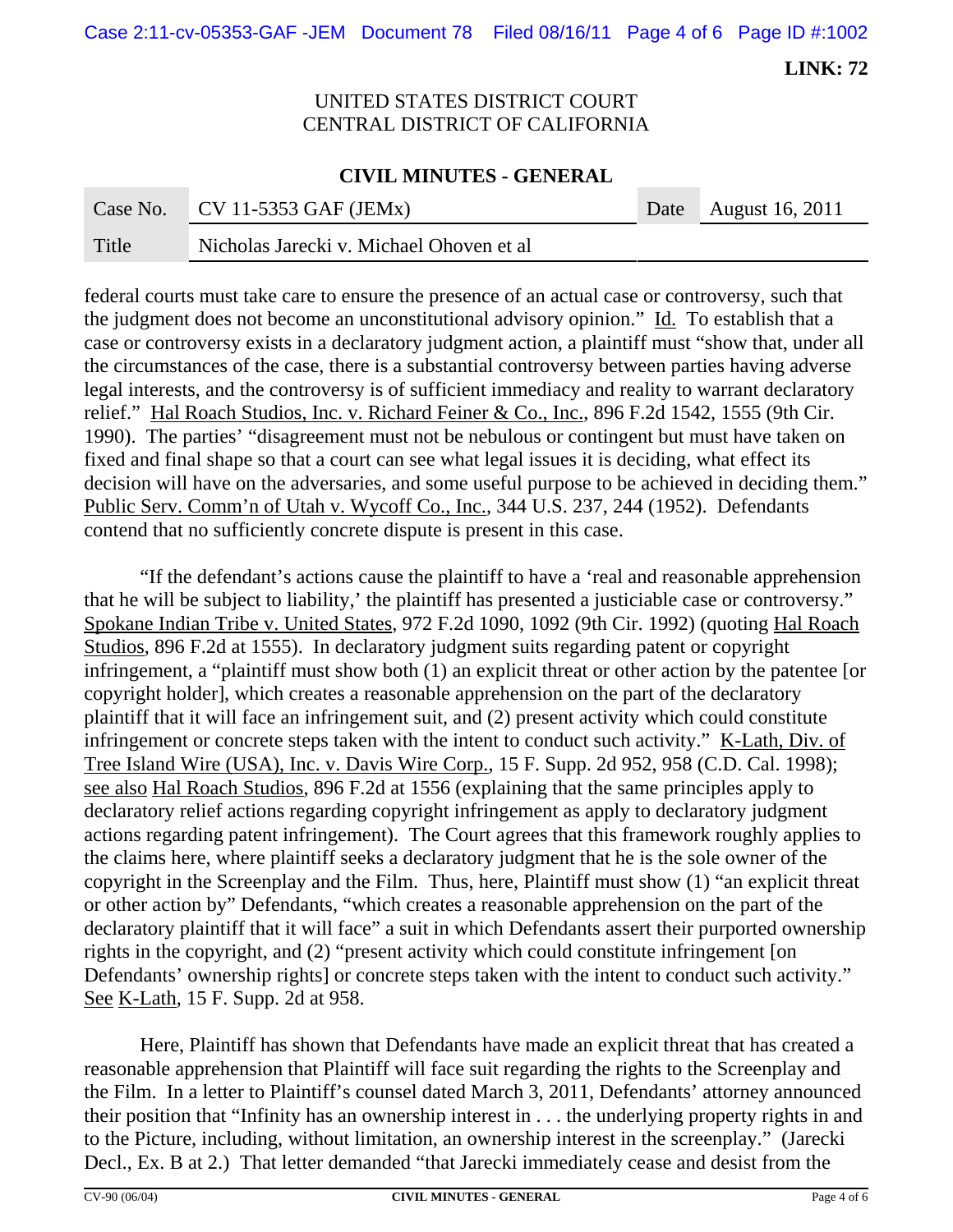Case 2:11-cv-05353-GAF -JEM Document 78 Filed 08/16/11 Page 4 of 6 Page ID #:1002

**LINK: 72**

### UNITED STATES DISTRICT COURT CENTRAL DISTRICT OF CALIFORNIA

#### **CIVIL MINUTES - GENERAL**

|       | Case No. CV 11-5353 GAF (JEMx)           | Date August 16, 2011 |
|-------|------------------------------------------|----------------------|
| Title | Nicholas Jarecki v. Michael Ohoven et al |                      |

federal courts must take care to ensure the presence of an actual case or controversy, such that the judgment does not become an unconstitutional advisory opinion."  $\underline{Id}$ . To establish that a case or controversy exists in a declaratory judgment action, a plaintiff must "show that, under all the circumstances of the case, there is a substantial controversy between parties having adverse legal interests, and the controversy is of sufficient immediacy and reality to warrant declaratory relief." Hal Roach Studios, Inc. v. Richard Feiner & Co., Inc., 896 F.2d 1542, 1555 (9th Cir. 1990). The parties' "disagreement must not be nebulous or contingent but must have taken on fixed and final shape so that a court can see what legal issues it is deciding, what effect its decision will have on the adversaries, and some useful purpose to be achieved in deciding them." Public Serv. Comm'n of Utah v. Wycoff Co., Inc., 344 U.S. 237, 244 (1952). Defendants contend that no sufficiently concrete dispute is present in this case.

"If the defendant's actions cause the plaintiff to have a 'real and reasonable apprehension that he will be subject to liability,' the plaintiff has presented a justiciable case or controversy." Spokane Indian Tribe v. United States, 972 F.2d 1090, 1092 (9th Cir. 1992) (quoting Hal Roach Studios, 896 F.2d at 1555). In declaratory judgment suits regarding patent or copyright infringement, a "plaintiff must show both (1) an explicit threat or other action by the patentee [or copyright holder], which creates a reasonable apprehension on the part of the declaratory plaintiff that it will face an infringement suit, and (2) present activity which could constitute infringement or concrete steps taken with the intent to conduct such activity." K-Lath, Div. of Tree Island Wire (USA), Inc. v. Davis Wire Corp., 15 F. Supp. 2d 952, 958 (C.D. Cal. 1998); see also Hal Roach Studios, 896 F.2d at 1556 (explaining that the same principles apply to declaratory relief actions regarding copyright infringement as apply to declaratory judgment actions regarding patent infringement). The Court agrees that this framework roughly applies to the claims here, where plaintiff seeks a declaratory judgment that he is the sole owner of the copyright in the Screenplay and the Film. Thus, here, Plaintiff must show (1) "an explicit threat or other action by" Defendants, "which creates a reasonable apprehension on the part of the declaratory plaintiff that it will face" a suit in which Defendants assert their purported ownership rights in the copyright, and (2) "present activity which could constitute infringement [on Defendants' ownership rights] or concrete steps taken with the intent to conduct such activity." See K-Lath, 15 F. Supp. 2d at 958.

Here, Plaintiff has shown that Defendants have made an explicit threat that has created a reasonable apprehension that Plaintiff will face suit regarding the rights to the Screenplay and the Film. In a letter to Plaintiff's counsel dated March 3, 2011, Defendants' attorney announced their position that "Infinity has an ownership interest in . . . the underlying property rights in and to the Picture, including, without limitation, an ownership interest in the screenplay." (Jarecki Decl., Ex. B at 2.) That letter demanded "that Jarecki immediately cease and desist from the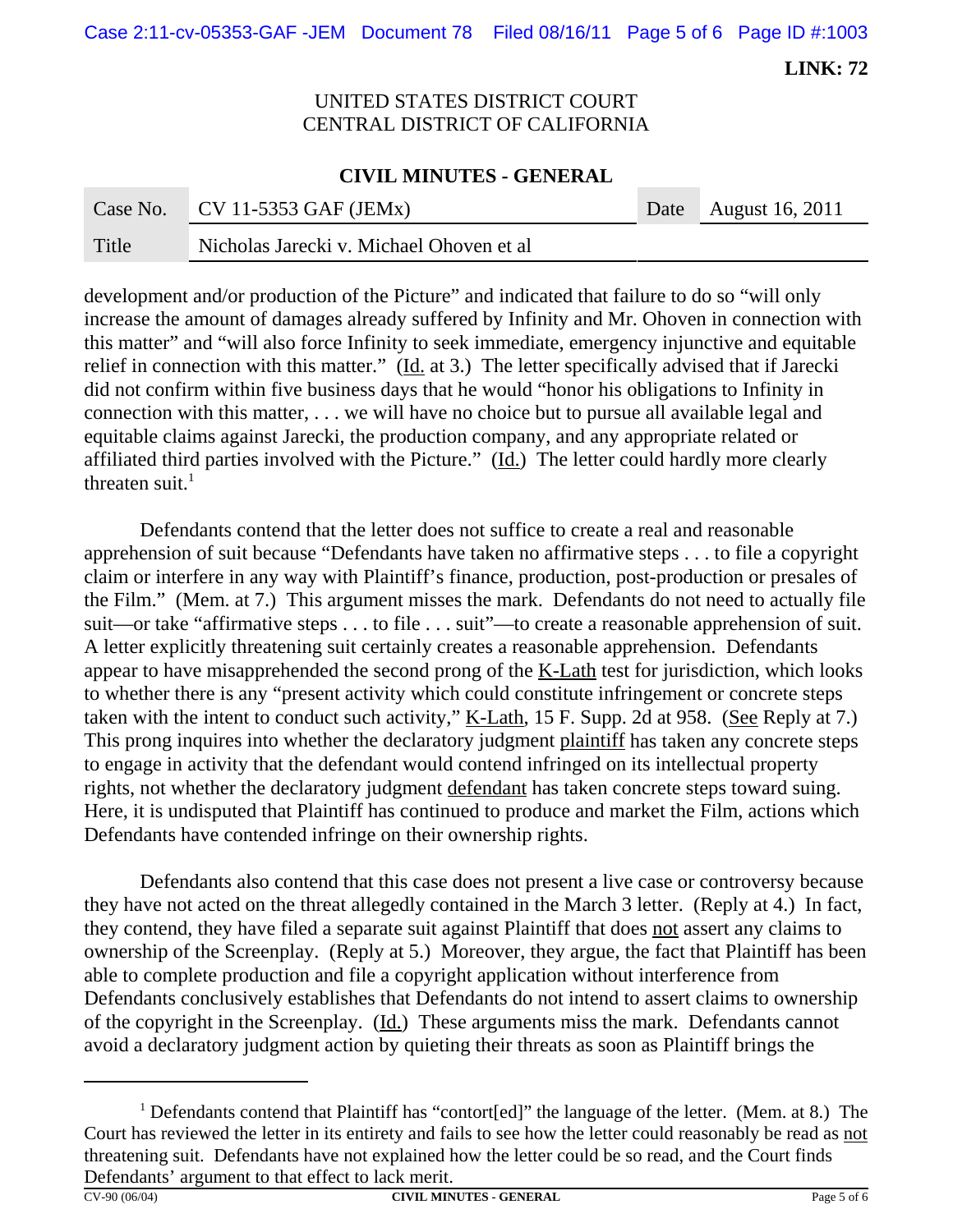Case 2:11-cv-05353-GAF -JEM Document 78 Filed 08/16/11 Page 5 of 6 Page ID #:1003

**LINK: 72**

# UNITED STATES DISTRICT COURT CENTRAL DISTRICT OF CALIFORNIA

### **CIVIL MINUTES - GENERAL**

|       | Case No. CV 11-5353 GAF (JEMx)           | Date August $16, 2011$ |
|-------|------------------------------------------|------------------------|
| Title | Nicholas Jarecki v. Michael Ohoven et al |                        |

development and/or production of the Picture" and indicated that failure to do so "will only increase the amount of damages already suffered by Infinity and Mr. Ohoven in connection with this matter" and "will also force Infinity to seek immediate, emergency injunctive and equitable relief in connection with this matter." (Id. at 3.) The letter specifically advised that if Jarecki did not confirm within five business days that he would "honor his obligations to Infinity in connection with this matter, . . . we will have no choice but to pursue all available legal and equitable claims against Jarecki, the production company, and any appropriate related or affiliated third parties involved with the Picture." (Id.) The letter could hardly more clearly threaten suit. $<sup>1</sup>$ </sup>

Defendants contend that the letter does not suffice to create a real and reasonable apprehension of suit because "Defendants have taken no affirmative steps . . . to file a copyright claim or interfere in any way with Plaintiff's finance, production, post-production or presales of the Film." (Mem. at 7.) This argument misses the mark. Defendants do not need to actually file suit—or take "affirmative steps . . . to file . . . suit"—to create a reasonable apprehension of suit. A letter explicitly threatening suit certainly creates a reasonable apprehension. Defendants appear to have misapprehended the second prong of the  $K$ -Lath test for jurisdiction, which looks to whether there is any "present activity which could constitute infringement or concrete steps taken with the intent to conduct such activity,"  $K$ -Lath, 15 F. Supp. 2d at 958. (See Reply at 7.) This prong inquires into whether the declaratory judgment plaintiff has taken any concrete steps to engage in activity that the defendant would contend infringed on its intellectual property rights, not whether the declaratory judgment defendant has taken concrete steps toward suing. Here, it is undisputed that Plaintiff has continued to produce and market the Film, actions which Defendants have contended infringe on their ownership rights.

Defendants also contend that this case does not present a live case or controversy because they have not acted on the threat allegedly contained in the March 3 letter. (Reply at 4.) In fact, they contend, they have filed a separate suit against Plaintiff that does not assert any claims to ownership of the Screenplay. (Reply at 5.) Moreover, they argue, the fact that Plaintiff has been able to complete production and file a copyright application without interference from Defendants conclusively establishes that Defendants do not intend to assert claims to ownership of the copyright in the Screenplay. (Id.) These arguments miss the mark. Defendants cannot avoid a declaratory judgment action by quieting their threats as soon as Plaintiff brings the

<sup>&</sup>lt;sup>1</sup> Defendants contend that Plaintiff has "contort[ed]" the language of the letter. (Mem. at 8.) The Court has reviewed the letter in its entirety and fails to see how the letter could reasonably be read as not threatening suit. Defendants have not explained how the letter could be so read, and the Court finds Defendants' argument to that effect to lack merit.